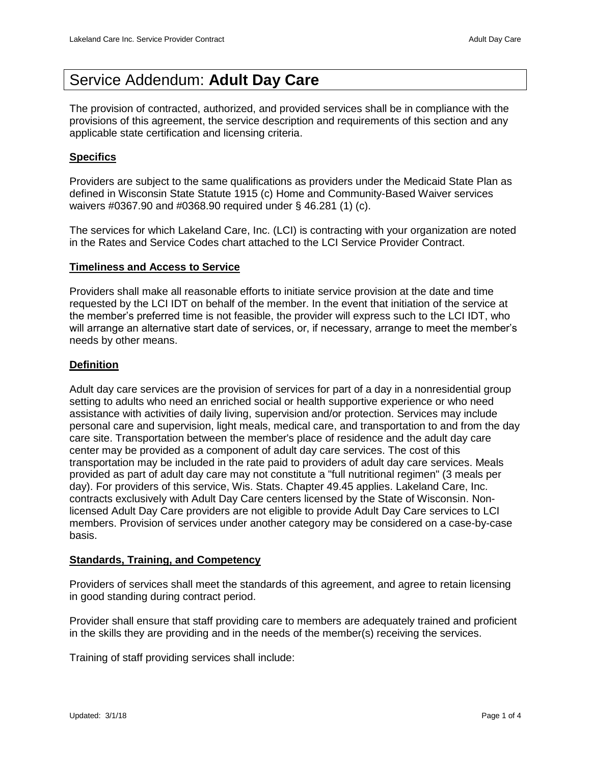# Service Addendum: **Adult Day Care**

The provision of contracted, authorized, and provided services shall be in compliance with the provisions of this agreement, the service description and requirements of this section and any applicable state certification and licensing criteria.

## **Specifics**

Providers are subject to the same qualifications as providers under the Medicaid State Plan as defined in Wisconsin State Statute 1915 (c) Home and Community-Based Waiver services waivers #0367.90 and #0368.90 required under § 46.281 (1) (c).

The services for which Lakeland Care, Inc. (LCI) is contracting with your organization are noted in the Rates and Service Codes chart attached to the LCI Service Provider Contract.

## **Timeliness and Access to Service**

Providers shall make all reasonable efforts to initiate service provision at the date and time requested by the LCI IDT on behalf of the member. In the event that initiation of the service at the member's preferred time is not feasible, the provider will express such to the LCI IDT, who will arrange an alternative start date of services, or, if necessary, arrange to meet the member's needs by other means.

## **Definition**

Adult day care services are the provision of services for part of a day in a nonresidential group setting to adults who need an enriched social or health supportive experience or who need assistance with activities of daily living, supervision and/or protection. Services may include personal care and supervision, light meals, medical care, and transportation to and from the day care site. Transportation between the member's place of residence and the adult day care center may be provided as a component of adult day care services. The cost of this transportation may be included in the rate paid to providers of adult day care services. Meals provided as part of adult day care may not constitute a "full nutritional regimen" (3 meals per day). For providers of this service, Wis. Stats. Chapter 49.45 applies. Lakeland Care, Inc. contracts exclusively with Adult Day Care centers licensed by the State of Wisconsin. Nonlicensed Adult Day Care providers are not eligible to provide Adult Day Care services to LCI members. Provision of services under another category may be considered on a case-by-case basis.

## **Standards, Training, and Competency**

Providers of services shall meet the standards of this agreement, and agree to retain licensing in good standing during contract period.

Provider shall ensure that staff providing care to members are adequately trained and proficient in the skills they are providing and in the needs of the member(s) receiving the services.

Training of staff providing services shall include: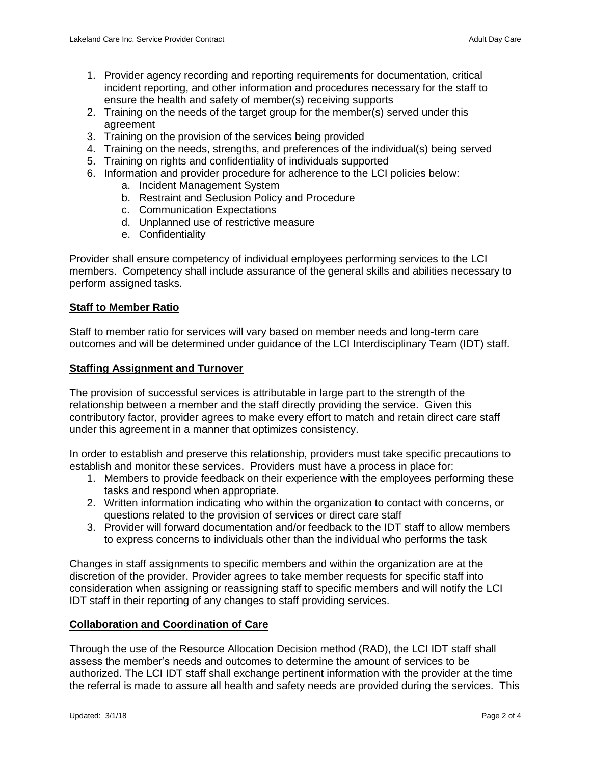- 1. Provider agency recording and reporting requirements for documentation, critical incident reporting, and other information and procedures necessary for the staff to ensure the health and safety of member(s) receiving supports
- 2. Training on the needs of the target group for the member(s) served under this agreement
- 3. Training on the provision of the services being provided
- 4. Training on the needs, strengths, and preferences of the individual(s) being served
- 5. Training on rights and confidentiality of individuals supported
- 6. Information and provider procedure for adherence to the LCI policies below:
	- a. Incident Management System
	- b. Restraint and Seclusion Policy and Procedure
	- c. Communication Expectations
	- d. Unplanned use of restrictive measure
	- e. Confidentiality

Provider shall ensure competency of individual employees performing services to the LCI members. Competency shall include assurance of the general skills and abilities necessary to perform assigned tasks.

#### **Staff to Member Ratio**

Staff to member ratio for services will vary based on member needs and long-term care outcomes and will be determined under guidance of the LCI Interdisciplinary Team (IDT) staff.

#### **Staffing Assignment and Turnover**

The provision of successful services is attributable in large part to the strength of the relationship between a member and the staff directly providing the service. Given this contributory factor, provider agrees to make every effort to match and retain direct care staff under this agreement in a manner that optimizes consistency.

In order to establish and preserve this relationship, providers must take specific precautions to establish and monitor these services. Providers must have a process in place for:

- 1. Members to provide feedback on their experience with the employees performing these tasks and respond when appropriate.
- 2. Written information indicating who within the organization to contact with concerns, or questions related to the provision of services or direct care staff
- 3. Provider will forward documentation and/or feedback to the IDT staff to allow members to express concerns to individuals other than the individual who performs the task

Changes in staff assignments to specific members and within the organization are at the discretion of the provider. Provider agrees to take member requests for specific staff into consideration when assigning or reassigning staff to specific members and will notify the LCI IDT staff in their reporting of any changes to staff providing services.

#### **Collaboration and Coordination of Care**

Through the use of the Resource Allocation Decision method (RAD), the LCI IDT staff shall assess the member's needs and outcomes to determine the amount of services to be authorized. The LCI IDT staff shall exchange pertinent information with the provider at the time the referral is made to assure all health and safety needs are provided during the services. This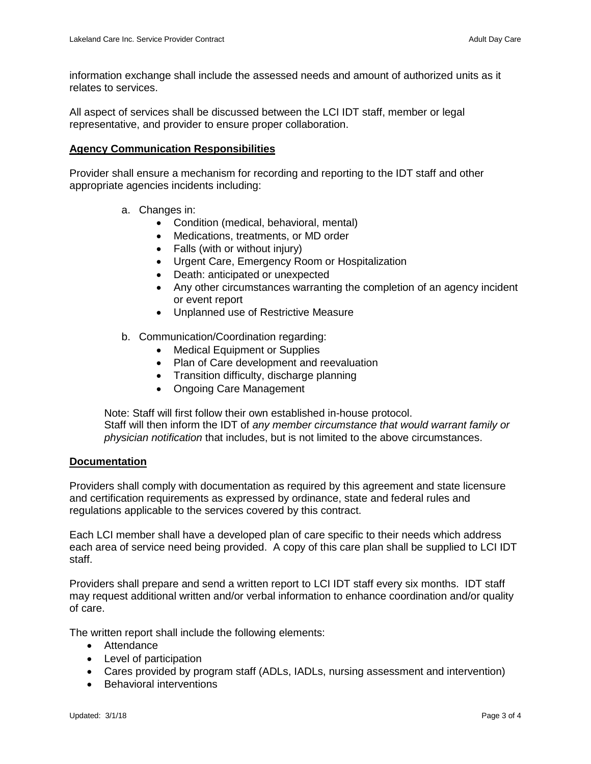information exchange shall include the assessed needs and amount of authorized units as it relates to services.

All aspect of services shall be discussed between the LCI IDT staff, member or legal representative, and provider to ensure proper collaboration.

#### **Agency Communication Responsibilities**

Provider shall ensure a mechanism for recording and reporting to the IDT staff and other appropriate agencies incidents including:

- a. Changes in:
	- Condition (medical, behavioral, mental)
	- Medications, treatments, or MD order
	- Falls (with or without injury)
	- Urgent Care, Emergency Room or Hospitalization
	- Death: anticipated or unexpected
	- Any other circumstances warranting the completion of an agency incident or event report
	- Unplanned use of Restrictive Measure
- b. Communication/Coordination regarding:
	- Medical Equipment or Supplies
	- Plan of Care development and reevaluation
	- Transition difficulty, discharge planning
	- Ongoing Care Management

Note: Staff will first follow their own established in-house protocol. Staff will then inform the IDT of *any member circumstance that would warrant family or physician notification* that includes, but is not limited to the above circumstances.

#### **Documentation**

Providers shall comply with documentation as required by this agreement and state licensure and certification requirements as expressed by ordinance, state and federal rules and regulations applicable to the services covered by this contract.

Each LCI member shall have a developed plan of care specific to their needs which address each area of service need being provided. A copy of this care plan shall be supplied to LCI IDT staff.

Providers shall prepare and send a written report to LCI IDT staff every six months. IDT staff may request additional written and/or verbal information to enhance coordination and/or quality of care.

The written report shall include the following elements:

- Attendance
- Level of participation
- Cares provided by program staff (ADLs, IADLs, nursing assessment and intervention)
- Behavioral interventions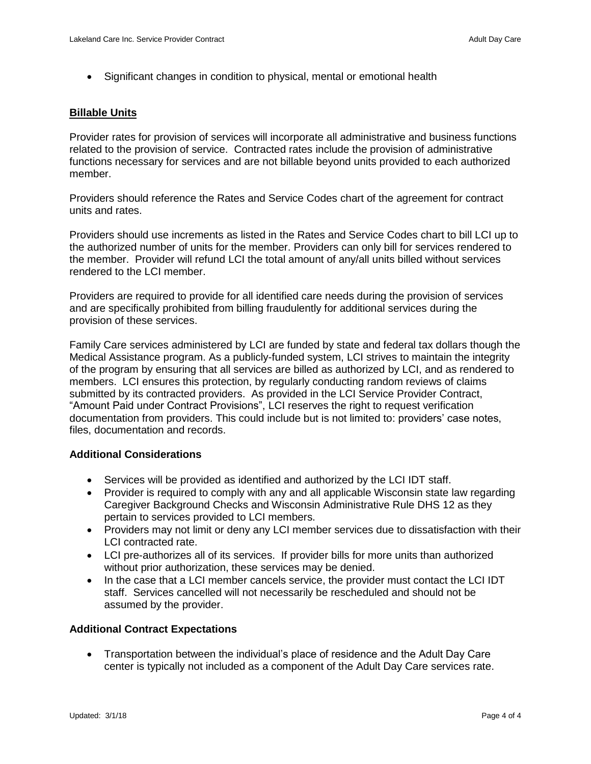Significant changes in condition to physical, mental or emotional health

#### **Billable Units**

Provider rates for provision of services will incorporate all administrative and business functions related to the provision of service. Contracted rates include the provision of administrative functions necessary for services and are not billable beyond units provided to each authorized member.

Providers should reference the Rates and Service Codes chart of the agreement for contract units and rates.

Providers should use increments as listed in the Rates and Service Codes chart to bill LCI up to the authorized number of units for the member. Providers can only bill for services rendered to the member. Provider will refund LCI the total amount of any/all units billed without services rendered to the LCI member.

Providers are required to provide for all identified care needs during the provision of services and are specifically prohibited from billing fraudulently for additional services during the provision of these services.

Family Care services administered by LCI are funded by state and federal tax dollars though the Medical Assistance program. As a publicly-funded system, LCI strives to maintain the integrity of the program by ensuring that all services are billed as authorized by LCI, and as rendered to members. LCI ensures this protection, by regularly conducting random reviews of claims submitted by its contracted providers. As provided in the LCI Service Provider Contract, "Amount Paid under Contract Provisions", LCI reserves the right to request verification documentation from providers. This could include but is not limited to: providers' case notes, files, documentation and records.

#### **Additional Considerations**

- Services will be provided as identified and authorized by the LCI IDT staff.
- Provider is required to comply with any and all applicable Wisconsin state law regarding Caregiver Background Checks and Wisconsin Administrative Rule DHS 12 as they pertain to services provided to LCI members.
- Providers may not limit or deny any LCI member services due to dissatisfaction with their LCI contracted rate.
- LCI pre-authorizes all of its services. If provider bills for more units than authorized without prior authorization, these services may be denied.
- In the case that a LCI member cancels service, the provider must contact the LCI IDT staff. Services cancelled will not necessarily be rescheduled and should not be assumed by the provider.

#### **Additional Contract Expectations**

 Transportation between the individual's place of residence and the Adult Day Care center is typically not included as a component of the Adult Day Care services rate.